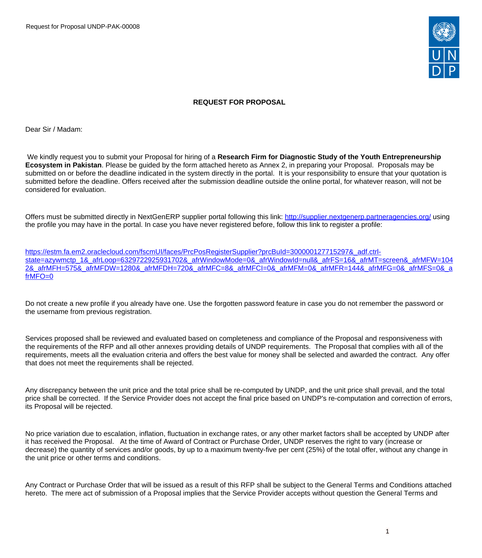Request for Proposal UNDP-PAK-00008



#### **REQUEST FOR PROPOSAL**

Dear Sir / Madam:

We kindly request you to submit your Proposal for hiring of a **Research Firm for Diagnostic Study of the Youth Entrepreneurship Ecosystem in Pakistan**. Please be guided by the form attached hereto as Annex 2, in preparing your Proposal. Proposals may be submitted on or before the deadline indicated in the system directly in the portal. It is your responsibility to ensure that your quotation is submitted before the deadline. Offers received after the submission deadline outside the online portal, for whatever reason, will not be considered for evaluation.

Offers must be submitted directly in NextGenERP supplier portal following this link:<http://supplier.nextgenerp.partneragencies.org/>using the profile you may have in the portal. In case you have never registered before, follow this link to register a profile:

[https://estm.fa.em2.oraclecloud.com/fscmUI/faces/PrcPosRegisterSupplier?prcBuId=300000127715297&\\_adf.ctrl](https://estm.fa.em2.oraclecloud.com/fscmUI/faces/PrcPosRegisterSupplier?prcBuId=300000127715297&_adf.ctrl-state=azywmctp_1&_afrLoop=6329722925931702&_afrWindowMode=0&_afrWindowId=null&_afrFS=16&_afrMT=screen&_afrMFW=1042&_afrMFH=575&_afrMFDW=1280&_afrMFDH=720&_afrMFC=8&_afrMFCI=0&_afrMFM=0&_afrMFR=144&_afrMFG=0&_afrMFS=0&_afrMFO=0)[state=azywmctp\\_1&\\_afrLoop=6329722925931702&\\_afrWindowMode=0&\\_afrWindowId=null&\\_afrFS=16&\\_afrMT=screen&\\_afrMFW=104](https://estm.fa.em2.oraclecloud.com/fscmUI/faces/PrcPosRegisterSupplier?prcBuId=300000127715297&_adf.ctrl-state=azywmctp_1&_afrLoop=6329722925931702&_afrWindowMode=0&_afrWindowId=null&_afrFS=16&_afrMT=screen&_afrMFW=1042&_afrMFH=575&_afrMFDW=1280&_afrMFDH=720&_afrMFC=8&_afrMFCI=0&_afrMFM=0&_afrMFR=144&_afrMFG=0&_afrMFS=0&_afrMFO=0) [2&\\_afrMFH=575&\\_afrMFDW=1280&\\_afrMFDH=720&\\_afrMFC=8&\\_afrMFCI=0&\\_afrMFM=0&\\_afrMFR=144&\\_afrMFG=0&\\_afrMFS=0&\\_a](https://estm.fa.em2.oraclecloud.com/fscmUI/faces/PrcPosRegisterSupplier?prcBuId=300000127715297&_adf.ctrl-state=azywmctp_1&_afrLoop=6329722925931702&_afrWindowMode=0&_afrWindowId=null&_afrFS=16&_afrMT=screen&_afrMFW=1042&_afrMFH=575&_afrMFDW=1280&_afrMFDH=720&_afrMFC=8&_afrMFCI=0&_afrMFM=0&_afrMFR=144&_afrMFG=0&_afrMFS=0&_afrMFO=0) [frMFO=0](https://estm.fa.em2.oraclecloud.com/fscmUI/faces/PrcPosRegisterSupplier?prcBuId=300000127715297&_adf.ctrl-state=azywmctp_1&_afrLoop=6329722925931702&_afrWindowMode=0&_afrWindowId=null&_afrFS=16&_afrMT=screen&_afrMFW=1042&_afrMFH=575&_afrMFDW=1280&_afrMFDH=720&_afrMFC=8&_afrMFCI=0&_afrMFM=0&_afrMFR=144&_afrMFG=0&_afrMFS=0&_afrMFO=0)

Do not create a new profile if you already have one. Use the forgotten password feature in case you do not remember the password or the username from previous registration.

Services proposed shall be reviewed and evaluated based on completeness and compliance of the Proposal and responsiveness with the requirements of the RFP and all other annexes providing details of UNDP requirements. The Proposal that complies with all of the requirements, meets all the evaluation criteria and offers the best value for money shall be selected and awarded the contract. Any offer that does not meet the requirements shall be rejected.

Any discrepancy between the unit price and the total price shall be re-computed by UNDP, and the unit price shall prevail, and the total price shall be corrected. If the Service Provider does not accept the final price based on UNDP's re-computation and correction of errors, its Proposal will be rejected.

No price variation due to escalation, inflation, fluctuation in exchange rates, or any other market factors shall be accepted by UNDP after it has received the Proposal. At the time of Award of Contract or Purchase Order, UNDP reserves the right to vary (increase or decrease) the quantity of services and/or goods, by up to a maximum twenty-five per cent (25%) of the total offer, without any change in the unit price or other terms and conditions.

Any Contract or Purchase Order that will be issued as a result of this RFP shall be subject to the General Terms and Conditions attached hereto. The mere act of submission of a Proposal implies that the Service Provider accepts without question the General Terms and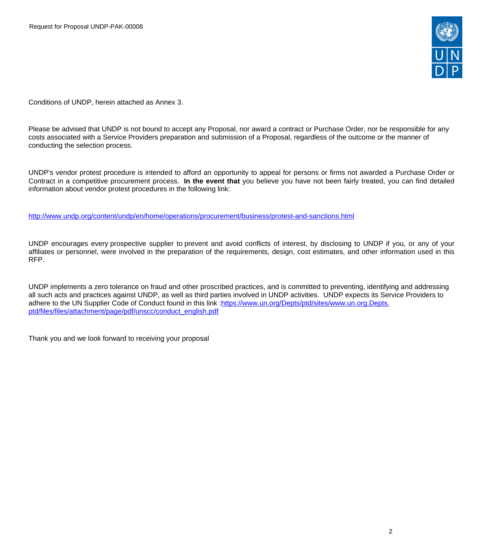

Conditions of UNDP, herein attached as Annex 3.

Please be advised that UNDP is not bound to accept any Proposal, nor award a contract or Purchase Order, nor be responsible for any costs associated with a Service Providers preparation and submission of a Proposal, regardless of the outcome or the manner of conducting the selection process.

UNDP's vendor protest procedure is intended to afford an opportunity to appeal for persons or firms not awarded a Purchase Order or Contract in a competitive procurement process. **In the event that** you believe you have not been fairly treated, you can find detailed information about vendor protest procedures in the following link:

<http://www.undp.org/content/undp/en/home/operations/procurement/business/protest-and-sanctions.html>

UNDP encourages every prospective supplier to prevent and avoid conflicts of interest, by disclosing to UNDP if you, or any of your affiliates or personnel, were involved in the preparation of the requirements, design, cost estimates, and other information used in this RFP.

UNDP implements a zero tolerance on fraud and other proscribed practices, and is committed to preventing, identifying and addressing all such acts and practices against UNDP, as well as third parties involved in UNDP activities. UNDP expects its Service Providers to adhere to the UN Supplier Code of Conduct found in this link :[https://www.un.org/Depts/ptd/sites/www.un.org.Depts.](https://www.un.org/Depts/ptd/sites/www.un.org.Depts.ptd/files/files/attachment/page/pdf/unscc/conduct_english.pdf) [ptd/files/files/attachment/page/pdf/unscc/conduct\\_english.pdf](https://www.un.org/Depts/ptd/sites/www.un.org.Depts.ptd/files/files/attachment/page/pdf/unscc/conduct_english.pdf)

Thank you and we look forward to receiving your proposal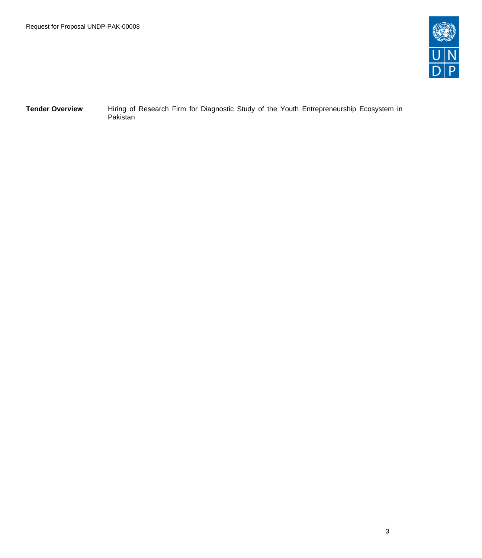

**Tender Overview** Hiring of Research Firm for Diagnostic Study of the Youth Entrepreneurship Ecosystem in Pakistan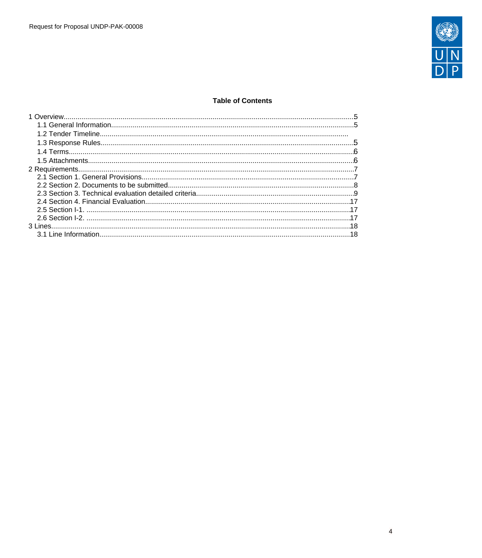

## **Table of Contents**

| $\overline{18}$ |  |
|-----------------|--|
|                 |  |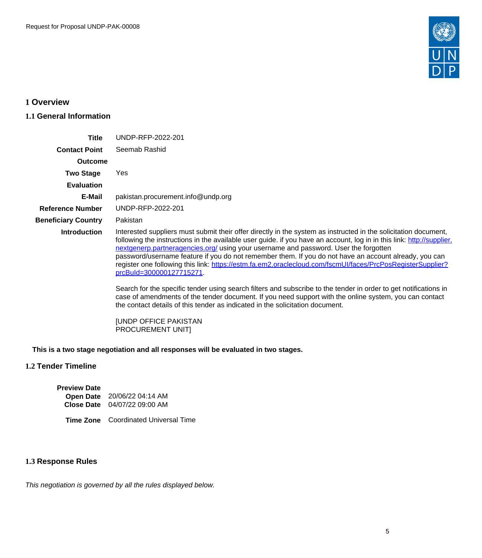

# <span id="page-4-0"></span>**1 Overview**

## <span id="page-4-1"></span>**1.1 General Information**

| <b>Title</b>               | UNDP-RFP-2022-201                                                                                                                                                                                                                                                                                                                                                                                                                                                                                                                                                                                                                                                                                                                                                                                                                                                                                 |
|----------------------------|---------------------------------------------------------------------------------------------------------------------------------------------------------------------------------------------------------------------------------------------------------------------------------------------------------------------------------------------------------------------------------------------------------------------------------------------------------------------------------------------------------------------------------------------------------------------------------------------------------------------------------------------------------------------------------------------------------------------------------------------------------------------------------------------------------------------------------------------------------------------------------------------------|
| <b>Contact Point</b>       | Seemab Rashid                                                                                                                                                                                                                                                                                                                                                                                                                                                                                                                                                                                                                                                                                                                                                                                                                                                                                     |
| Outcome                    |                                                                                                                                                                                                                                                                                                                                                                                                                                                                                                                                                                                                                                                                                                                                                                                                                                                                                                   |
| <b>Two Stage</b>           | Yes                                                                                                                                                                                                                                                                                                                                                                                                                                                                                                                                                                                                                                                                                                                                                                                                                                                                                               |
| <b>Evaluation</b>          |                                                                                                                                                                                                                                                                                                                                                                                                                                                                                                                                                                                                                                                                                                                                                                                                                                                                                                   |
| E-Mail                     | pakistan.procurement.info@undp.org                                                                                                                                                                                                                                                                                                                                                                                                                                                                                                                                                                                                                                                                                                                                                                                                                                                                |
| <b>Reference Number</b>    | UNDP-RFP-2022-201                                                                                                                                                                                                                                                                                                                                                                                                                                                                                                                                                                                                                                                                                                                                                                                                                                                                                 |
| <b>Beneficiary Country</b> | Pakistan                                                                                                                                                                                                                                                                                                                                                                                                                                                                                                                                                                                                                                                                                                                                                                                                                                                                                          |
| <b>Introduction</b>        | Interested suppliers must submit their offer directly in the system as instructed in the solicitation document,<br>following the instructions in the available user guide. If you have an account, log in in this link: http://supplier.<br>nextgenerp.partneragencies.org/ using your username and password. User the forgotten<br>password/username feature if you do not remember them. If you do not have an account already, you can<br>register one following this link: https://estm.fa.em2.oraclecloud.com/fscmUI/faces/PrcPosRegisterSupplier?<br>prcBuld=300000127715271<br>Search for the specific tender using search filters and subscribe to the tender in order to get notifications in<br>case of amendments of the tender document. If you need support with the online system, you can contact<br>the contact details of this tender as indicated in the solicitation document. |

[UNDP OFFICE PAKISTAN PROCUREMENT UNIT]

**This is a two stage negotiation and all responses will be evaluated in two stages.**

# **1.2 Tender Timeline**

| <b>Preview Date</b> |                                     |
|---------------------|-------------------------------------|
|                     | Open Date 20/06/22 04:14 AM         |
|                     | <b>Close Date</b> 04/07/22 09:00 AM |

## **Time Zone** Coordinated Universal Time

## <span id="page-4-2"></span>**1.3 Response Rules**

This negotiation is governed by all the rules displayed below.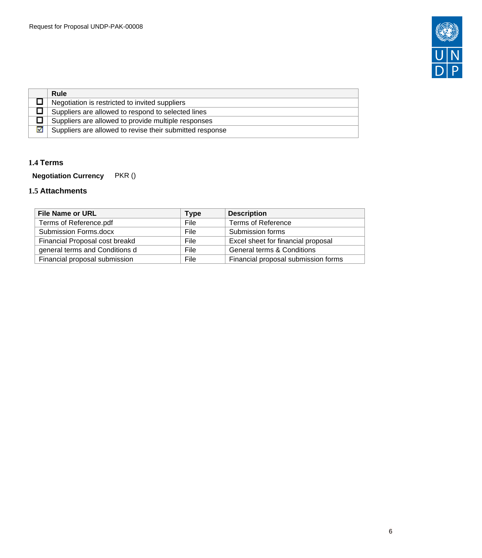

|   | Rule                                                     |
|---|----------------------------------------------------------|
|   | Negotiation is restricted to invited suppliers           |
|   | Suppliers are allowed to respond to selected lines       |
|   | Suppliers are allowed to provide multiple responses      |
| м | Suppliers are allowed to revise their submitted response |

## <span id="page-5-0"></span>**1.4 Terms**

**Negotiation Currency** PKR ()

# <span id="page-5-1"></span>**1.5 Attachments**

| <b>File Name or URL</b>        | <b>Type</b> | <b>Description</b>                    |
|--------------------------------|-------------|---------------------------------------|
| Terms of Reference.pdf         | File        | <b>Terms of Reference</b>             |
| <b>Submission Forms.docx</b>   | File        | Submission forms                      |
| Financial Proposal cost breakd | File        | Excel sheet for financial proposal    |
| general terms and Conditions d | File        | <b>General terms &amp; Conditions</b> |
| Financial proposal submission  | File        | Financial proposal submission forms   |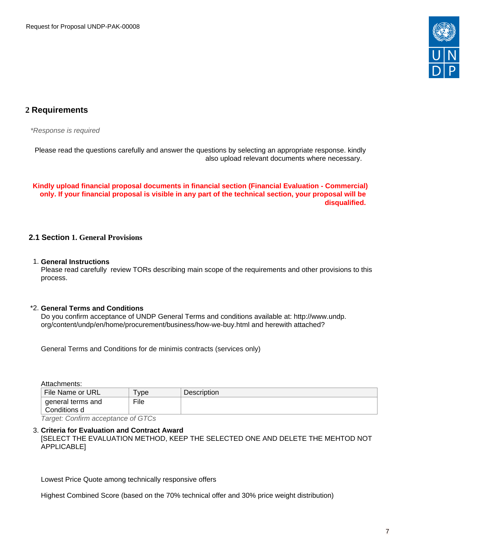

# <span id="page-6-0"></span>**2 Requirements**

\*Response is required

Please read the questions carefully and answer the questions by selecting an appropriate response. kindly also upload relevant documents where necessary.

**Kindly upload financial proposal documents in financial section (Financial Evaluation - Commercial) only. If your financial proposal is visible in any part of the technical section, your proposal will be disqualified.** 

## <span id="page-6-1"></span>**2.1 Section 1. General Provisions**

#### 1. **General Instructions**

Please read carefully review TORs describing main scope of the requirements and other provisions to this process.

#### \*2. **General Terms and Conditions**

Do you confirm acceptance of UNDP General Terms and conditions available at: http://www.undp. org/content/undp/en/home/procurement/business/how-we-buy.html and herewith attached?

General Terms and Conditions for de minimis contracts (services only)

Attachments:

| File Name or URL          | ype  | <b>Description</b> |
|---------------------------|------|--------------------|
| $\perp$ general terms and | File |                    |
| Conditions d              |      |                    |

Target: Confirm acceptance of GTCs

#### 3. **Criteria for Evaluation and Contract Award**

[SELECT THE EVALUATION METHOD, KEEP THE SELECTED ONE AND DELETE THE MEHTOD NOT APPLICABLE]

Lowest Price Quote among technically responsive offers

Highest Combined Score (based on the 70% technical offer and 30% price weight distribution)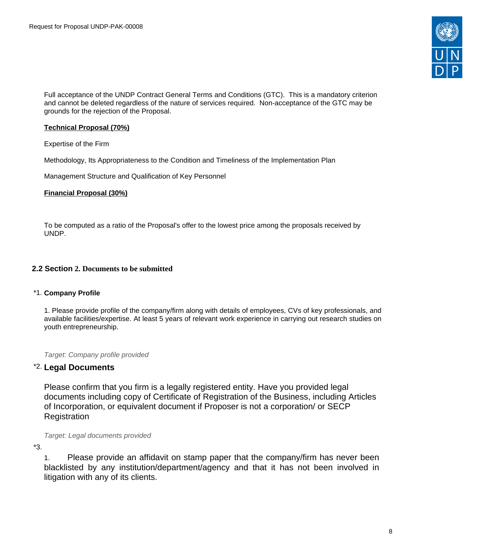

Full acceptance of the UNDP Contract General Terms and Conditions (GTC). This is a mandatory criterion and cannot be deleted regardless of the nature of services required. Non-acceptance of the GTC may be grounds for the rejection of the Proposal.

#### **Technical Proposal (70%)**

Expertise of the Firm

Methodology, Its Appropriateness to the Condition and Timeliness of the Implementation Plan

Management Structure and Qualification of Key Personnel

#### **Financial Proposal (30%)**

To be computed as a ratio of the Proposal's offer to the lowest price among the proposals received by UNDP.

#### <span id="page-7-0"></span>**2.2 Section 2. Documents to be submitted**

#### \*1. **Company Profile**

1. Please provide profile of the company/firm along with details of employees, CVs of key professionals, and available facilities/expertise. At least 5 years of relevant work experience in carrying out research studies on youth entrepreneurship.

Target: Company profile provided

#### \*2. **Legal Documents**

Please confirm that you firm is a legally registered entity. Have you provided legal documents including copy of Certificate of Registration of the Business, including Articles of Incorporation, or equivalent document if Proposer is not a corporation/ or SECP **Registration** 

Target: Legal documents provided

\*3.

1. Please provide an affidavit on stamp paper that the company/firm has never been blacklisted by any institution/department/agency and that it has not been involved in litigation with any of its clients.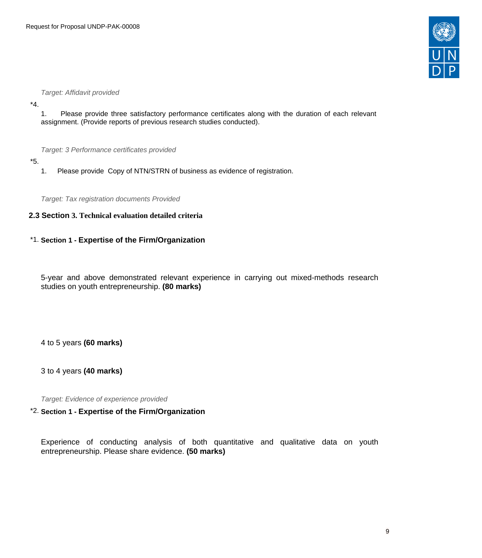

#### Target: Affidavit provided

\*4.

1. Please provide three satisfactory performance certificates along with the duration of each relevant assignment. (Provide reports of previous research studies conducted).

Target: 3 Performance certificates provided

- \*5.
	- 1. Please provide Copy of NTN/STRN of business as evidence of registration.

Target: Tax registration documents Provided

#### <span id="page-8-0"></span>**2.3 Section 3. Technical evaluation detailed criteria**

#### \*1. **Section 1 - Expertise of the Firm/Organization**

5-year and above demonstrated relevant experience in carrying out mixed-methods research studies on youth entrepreneurship. **(80 marks)**

4 to 5 years **(60 marks)**

3 to 4 years **(40 marks)**

Target: Evidence of experience provided

## \*2. **Section 1 - Expertise of the Firm/Organization**

Experience of conducting analysis of both quantitative and qualitative data on youth entrepreneurship. Please share evidence. **(50 marks)**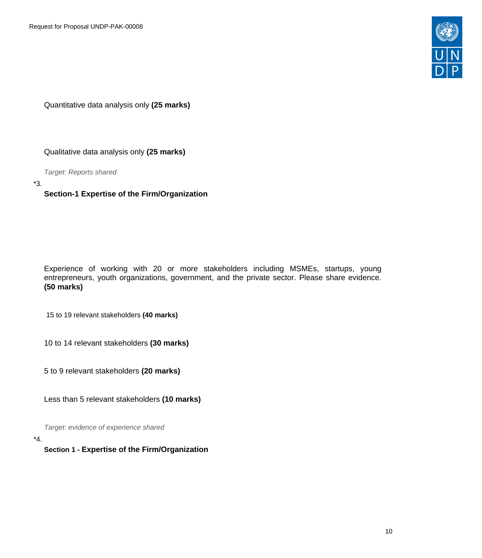

Quantitative data analysis only **(25 marks)**

Qualitative data analysis only **(25 marks)**

Target: Reports shared

\*3.

# **Section-1 Expertise of the Firm/Organization**

Experience of working with 20 or more stakeholders including MSMEs, startups, young entrepreneurs, youth organizations, government, and the private sector. Please share evidence. **(50 marks)**

15 to 19 relevant stakeholders **(40 marks)**

10 to 14 relevant stakeholders **(30 marks)**

5 to 9 relevant stakeholders **(20 marks)**

Less than 5 relevant stakeholders **(10 marks)**

Target: evidence of experience shared

\*4.

**Section 1 - Expertise of the Firm/Organization**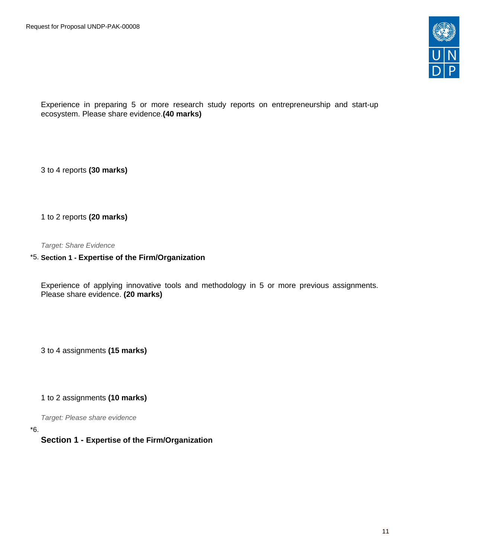

Experience in preparing 5 or more research study reports on entrepreneurship and start-up ecosystem. Please share evidence.**(40 marks)**

3 to 4 reports **(30 marks)**

1 to 2 reports **(20 marks)**

Target: Share Evidence

### \*5. **Section 1 - Expertise of the Firm/Organization**

Experience of applying innovative tools and methodology in 5 or more previous assignments. Please share evidence. **(20 marks)**

3 to 4 assignments **(15 marks)**

1 to 2 assignments **(10 marks)**

Target: Please share evidence

\*6.

#### **Section 1 - Expertise of the Firm/Organization**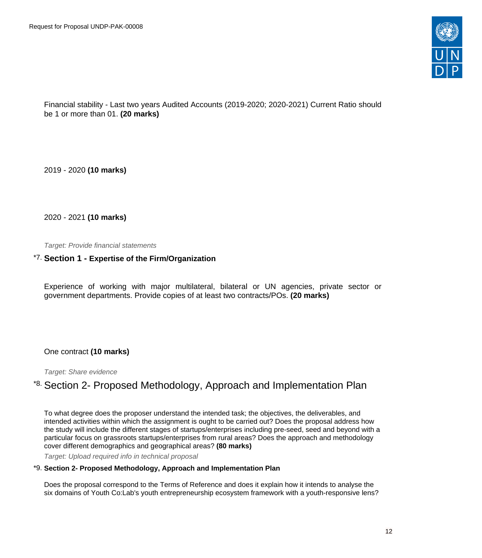

Financial stability - Last two years Audited Accounts (2019-2020; 2020-2021) Current Ratio should be 1 or more than 01. **(20 marks)**

2019 - 2020 **(10 marks)**

2020 - 2021 **(10 marks)**

Target: Provide financial statements

## \*7. **Section 1 - Expertise of the Firm/Organization**

Experience of working with major multilateral, bilateral or UN agencies, private sector or government departments. Provide copies of at least two contracts/POs. **(20 marks)**

#### One contract **(10 marks)**

Target: Share evidence

# \*8. Section 2- Proposed Methodology, Approach and Implementation Plan

To what degree does the proposer understand the intended task; the objectives, the deliverables, and intended activities within which the assignment is ought to be carried out? Does the proposal address how the study will include the different stages of startups/enterprises including pre-seed, seed and beyond with a particular focus on grassroots startups/enterprises from rural areas? Does the approach and methodology cover different demographics and geographical areas? **(80 marks)**

Target: Upload required info in technical proposal

#### \*9. **Section 2- Proposed Methodology, Approach and Implementation Plan**

Does the proposal correspond to the Terms of Reference and does it explain how it intends to analyse the six domains of Youth Co:Lab's youth entrepreneurship ecosystem framework with a youth-responsive lens?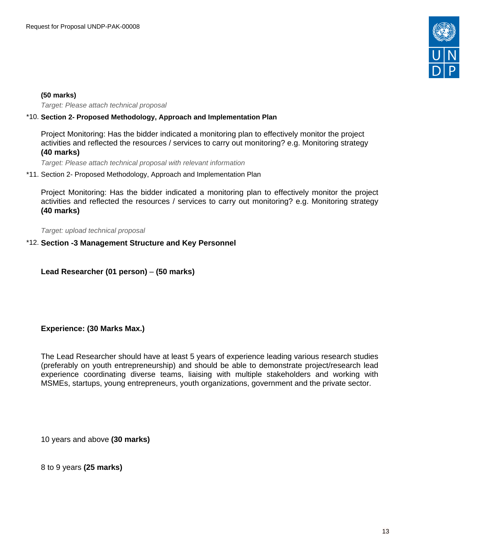

#### **(50 marks)**

Target: Please attach technical proposal

#### \*10. **Section 2- Proposed Methodology, Approach and Implementation Plan**

Project Monitoring: Has the bidder indicated a monitoring plan to effectively monitor the project activities and reflected the resources / services to carry out monitoring? e.g. Monitoring strategy **(40 marks)**

Target: Please attach technical proposal with relevant information

\*11. Section 2- Proposed Methodology, Approach and Implementation Plan

Project Monitoring: Has the bidder indicated a monitoring plan to effectively monitor the project activities and reflected the resources / services to carry out monitoring? e.g. Monitoring strategy **(40 marks)**

Target: upload technical proposal

#### \*12. **Section -3 Management Structure and Key Personnel**

**Lead Researcher (01 person)** – **(50 marks)**

#### **Experience: (30 Marks Max.)**

The Lead Researcher should have at least 5 years of experience leading various research studies (preferably on youth entrepreneurship) and should be able to demonstrate project/research lead experience coordinating diverse teams, liaising with multiple stakeholders and working with MSMEs, startups, young entrepreneurs, youth organizations, government and the private sector.

10 years and above **(30 marks)**

8 to 9 years **(25 marks)**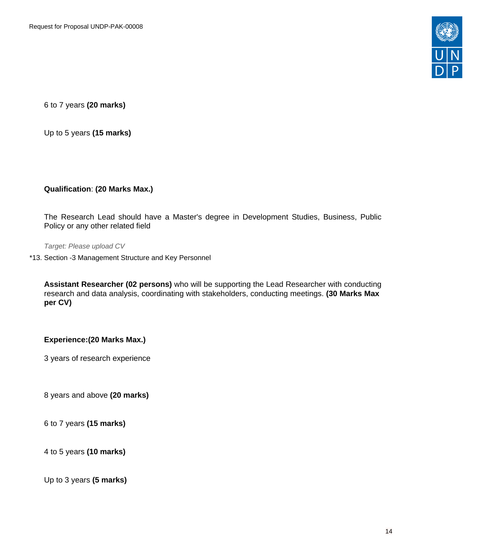

6 to 7 years **(20 marks)**

Up to 5 years **(15 marks)**

## **Qualification**: **(20 Marks Max.)**

The Research Lead should have a Master's degree in Development Studies, Business, Public Policy or any other related field

Target: Please upload CV

\*13. Section -3 Management Structure and Key Personnel

**Assistant Researcher (02 persons)** who will be supporting the Lead Researcher with conducting research and data analysis, coordinating with stakeholders, conducting meetings. **(30 Marks Max per CV)**

#### **Experience:(20 Marks Max.)**

3 years of research experience

8 years and above **(20 marks)**

6 to 7 years **(15 marks)**

4 to 5 years **(10 marks)**

Up to 3 years **(5 marks)**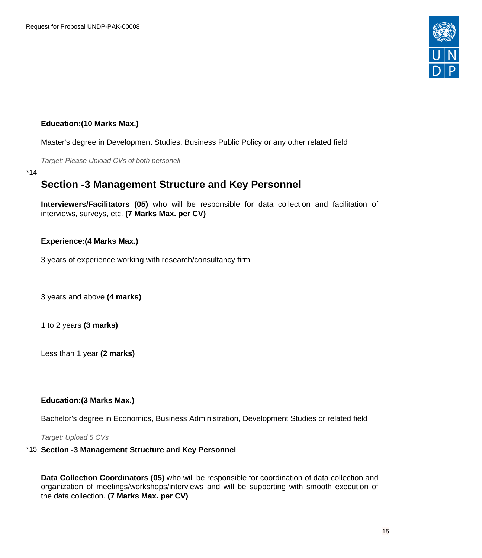

## **Education:(10 Marks Max.)**

Master's degree in Development Studies, Business Public Policy or any other related field

Target: Please Upload CVs of both personell

\*14.

# **Section -3 Management Structure and Key Personnel**

**Interviewers/Facilitators (05)** who will be responsible for data collection and facilitation of interviews, surveys, etc. **(7 Marks Max. per CV)**

## **Experience:(4 Marks Max.)**

3 years of experience working with research/consultancy firm

3 years and above **(4 marks)**

1 to 2 years **(3 marks)**

Less than 1 year **(2 marks)**

#### **Education:(3 Marks Max.)**

Bachelor's degree in Economics, Business Administration, Development Studies or related field

Target: Upload 5 CVs

# \*15. **Section -3 Management Structure and Key Personnel**

**Data Collection Coordinators (05)** who will be responsible for coordination of data collection and organization of meetings/workshops/interviews and will be supporting with smooth execution of the data collection. **(7 Marks Max. per CV)**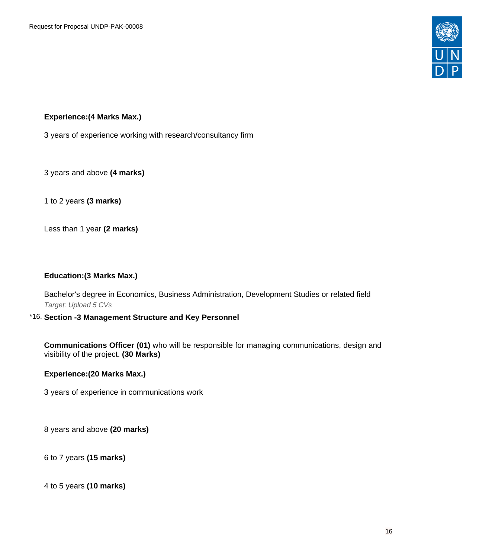

# **Experience:(4 Marks Max.)**

3 years of experience working with research/consultancy firm

3 years and above **(4 marks)**

1 to 2 years **(3 marks)**

Less than 1 year **(2 marks)**

#### **Education:(3 Marks Max.)**

Bachelor's degree in Economics, Business Administration, Development Studies or related field Target: Upload 5 CVs

#### \*16. **Section -3 Management Structure and Key Personnel**

**Communications Officer (01)** who will be responsible for managing communications, design and visibility of the project. **(30 Marks)**

#### **Experience:(20 Marks Max.)**

3 years of experience in communications work

8 years and above **(20 marks)**

6 to 7 years **(15 marks)**

4 to 5 years **(10 marks)**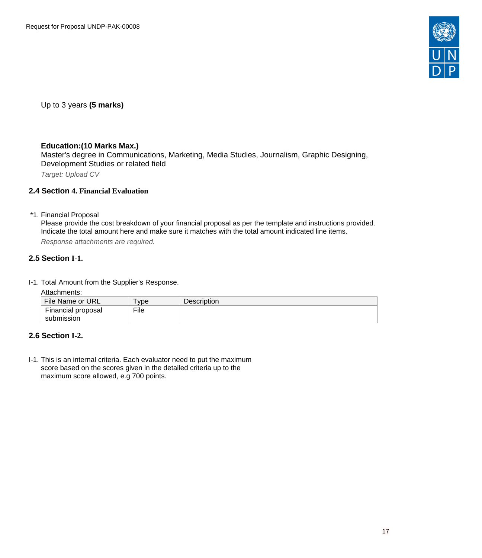

Up to 3 years **(5 marks)**

## **Education:(10 Marks Max.)**

Master's degree in Communications, Marketing, Media Studies, Journalism, Graphic Designing, Development Studies or related field

Target: Upload CV

#### <span id="page-16-0"></span>**2.4 Section 4. Financial Evaluation**

\*1. Financial Proposal

Please provide the cost breakdown of your financial proposal as per the template and instructions provided. Indicate the total amount here and make sure it matches with the total amount indicated line items.

Response attachments are required*.*

#### <span id="page-16-1"></span>**2.5 Section I-1.**

I-1. Total Amount from the Supplier's Response.

Attachments:

| File Name or URL   | ' vpe | <b>Description</b> |
|--------------------|-------|--------------------|
| Financial proposal | File  |                    |
| submission         |       |                    |

# <span id="page-16-2"></span>**2.6 Section I-2.**

I-1. This is an internal criteria. Each evaluator need to put the maximum score based on the scores given in the detailed criteria up to the maximum score allowed, e.g 700 points.